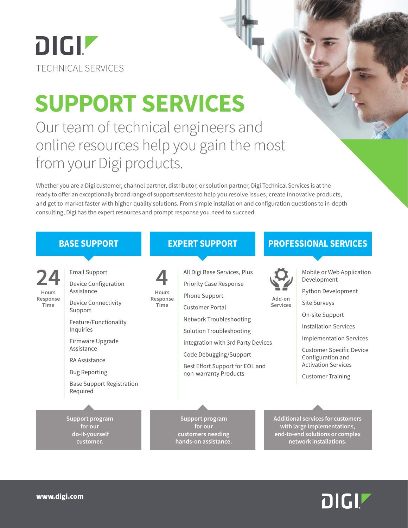# DIGIZ TECHNICAL SERVICES

# **SUPPORT SERVICES**

Our team of technical engineers and online resources help you gain the most from your Digi products.

Whether you are a Digi customer, channel partner, distributor, or solution partner, Digi Technical Services is at the ready to offer an exceptionally broad range of support services to help you resolve issues, create innovative products, and get to market faster with higher-quality solutions. From simple installation and configuration questions to in-depth consulting, Digi has the expert resources and prompt response you need to succeed.



## DIGIZ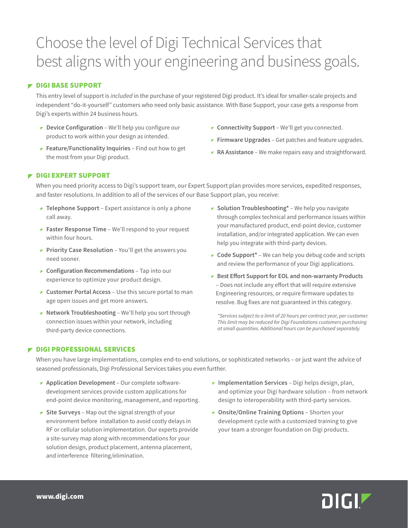### Choose the level of Digi Technical Services that best aligns with your engineering and business goals.

#### **F** DIGI BASE SUPPORT

This entry level of support is *included* in the purchase of your registered Digi product. It's ideal for smaller-scale projects and independent "do-it-yourself" customers who need only basic assistance. With Base Support, your case gets a response from Digi's experts within 24 business hours.

- **Device Configuration** We'll help you configure our product to work within your design as intended.
- **Feature/Functionality Inquiries** Find out how to get the most from your Digi product.
- **Connectivity Support** We'll get you connected.
- **Firmware Upgrades** Get patches and feature upgrades.
- **RA Assistance** We make repairs easy and straightforward.

#### **P DIGI EXPERT SUPPORT**

When you need priority access to Digi's support team, our Expert Support plan provides more services, expedited responses, and faster resolutions. In addition to all of the services of our Base Support plan, you receive:

- **Telephone Support** Expert assistance is only a phone call away.
- **Faster Response Time** We'll respond to your request within four hours.
- **Priority Case Resolution** You'll get the answers you need sooner.
- **Configuration Recommendations** Tap into our experience to optimize your product design.
- **Customer Portal Access** Use this secure portal to man age open issues and get more answers.
- **Network Troubleshooting** We'll help you sort through connection issues within your network, including third-party device connections.
- **F** Solution Troubleshooting\* We help you navigate through complex technical and performance issues within your manufactured product, end-point device, customer installation, and/or integrated application. We can even help you integrate with third-party devices.
- **Code Support\*** We can help you debug code and scripts and review the performance of your Digi applications.
- **Best Effort Support for EOL and non-warranty Products** – Does not include any effort that will require extensive Engineering resources, or require firmware updates to resolve. Bug fixes are not guaranteed in this category.

*\*Services subject to a limit of 20 hours per contract year, per customer. This limit may be reduced for Digi Foundations customers purchasing at small quantities. Additional hours can be purchased separately.*

#### **P DIGI PROFESSIONAL SERVICES**

When you have large implementations, complex end-to-end solutions, or sophisticated networks – or just want the advice of seasoned professionals, Digi Professional Services takes you even further.

- **Application Development** Our complete software development services provide custom applications for end-point device monitoring, management, and reporting.
- **F** Site Surveys Map out the signal strength of your environment before installation to avoid costly delays in RF or cellular solution implementation. Our experts provide a site-survey map along with recommendations for your solution design, product placement, antenna placement, and interference filtering/elimination.
- **Implementation Services** Digi helps design, plan, and optimize your Digi hardware solution – from network design to interoperability with third-party services.
- **Onsite/Online Training Options** Shorten your development cycle with a customized training to give your team a stronger foundation on Digi products.